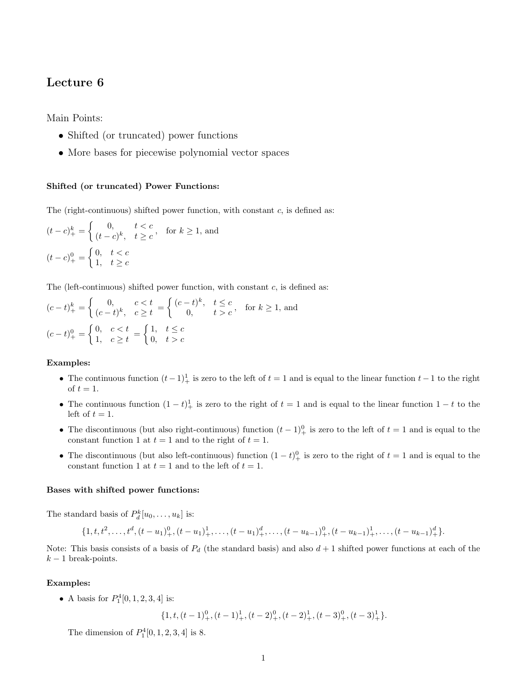# Lecture 6

Main Points:

- Shifted (or truncated) power functions
- More bases for piecewise polynomial vector spaces

## Shifted (or truncated) Power Functions:

The (right-continuous) shifted power function, with constant  $c$ , is defined as:

$$
(t - c)_+^k = \begin{cases} 0, & t < c \\ (t - c)^k, & t \ge c \end{cases}, \quad \text{for } k \ge 1, \text{ and}
$$
\n
$$
(t - c)_+^0 = \begin{cases} 0, & t < c \\ 1, & t \ge c \end{cases}
$$

The (left-continuous) shifted power function, with constant  $c$ , is defined as:

$$
(c-t)_+^k = \begin{cases} 0, & c < t \\ (c-t)^k, & c \ge t \end{cases} = \begin{cases} (c-t)^k, & t \le c \\ 0, & t > c \end{cases}
$$
 for  $k \ge 1$ , and  

$$
(c-t)_+^0 = \begin{cases} 0, & c < t \\ 1, & c \ge t \end{cases} = \begin{cases} 1, & t \le c \\ 0, & t > c \end{cases}
$$

## Examples:

- The continuous function  $(t-1)<sup>1</sup>$  is zero to the left of  $t = 1$  and is equal to the linear function  $t-1$  to the right of  $t = 1$ .
- The continuous function  $(1-t)^{1}_{+}$  is zero to the right of  $t = 1$  and is equal to the linear function  $1-t$  to the left of  $t = 1$ .
- The discontinuous (but also right-continuous) function  $(t-1)<sup>0</sup>$  is zero to the left of  $t=1$  and is equal to the constant function 1 at  $t = 1$  and to the right of  $t = 1$ .
- The discontinuous (but also left-continuous) function  $(1-t)^0_+$  is zero to the right of  $t=1$  and is equal to the constant function 1 at  $t = 1$  and to the left of  $t = 1$ .

#### Bases with shifted power functions:

The standard basis of  $P_d^k[u_0, \ldots, u_k]$  is:

$$
\{1,t,t^2,\ldots,t^d, (t-u_1)_+^0, (t-u_1)_+^1,\ldots,(t-u_1)_+^d,\ldots,(t-u_{k-1})_+^0, (t-u_{k-1})_+^1,\ldots,(t-u_{k-1})_+^d\}.
$$

Note: This basis consists of a basis of  $P_d$  (the standard basis) and also  $d+1$  shifted power functions at each of the  $k-1$  break-points.

#### Examples:

• A basis for  $P_1^4[0, 1, 2, 3, 4]$  is:

 $\{1, t, (t-1)_+^0, (t-1)_+^1, (t-2)_+^0, (t-2)_+^1, (t-3)_+^0, (t-3)_+^1\}.$ 

The dimension of  $P_1^4[0, 1, 2, 3, 4]$  is 8.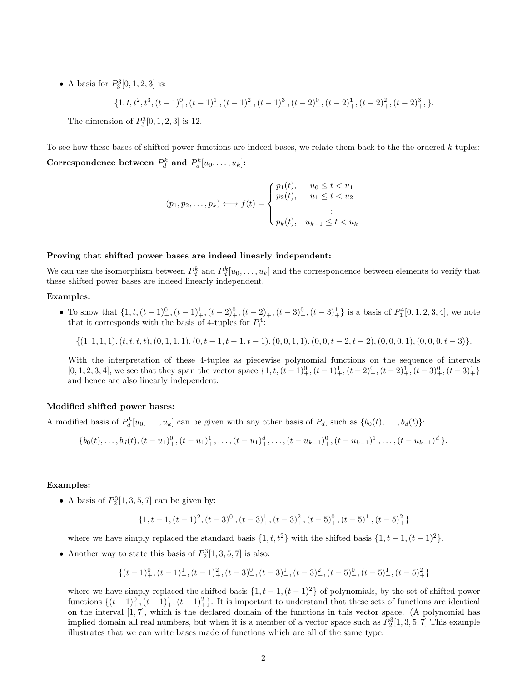• A basis for  $P_3^3[0, 1, 2, 3]$  is:

$$
\{1, t, t^{2}, t^{3}, (t-1)_{+}^{0}, (t-1)_{+}^{1}, (t-1)_{+}^{2}, (t-1)_{+}^{3}, (t-2)_{+}^{0}, (t-2)_{+}^{1}, (t-2)_{+}^{2}, (t-2)_{+}^{3}, \}.
$$

The dimension of  $P_3^3[0, 1, 2, 3]$  is 12.

To see how these bases of shifted power functions are indeed bases, we relate them back to the the ordered k-tuples: Correspondence between  $P_d^k$  and  $P_d^k[u_0, \ldots, u_k]$ :

$$
(p_1, p_2, \dots, p_k) \longleftrightarrow f(t) = \begin{cases} p_1(t), & u_0 \le t < u_1 \\ p_2(t), & u_1 \le t < u_2 \\ \vdots & \vdots \\ p_k(t), & u_{k-1} \le t < u_k \end{cases}
$$

## Proving that shifted power bases are indeed linearly independent:

We can use the isomorphism between  $P_d^k$  and  $P_d^k[u_0,\ldots,u_k]$  and the correspondence between elements to verify that these shifted power bases are indeed linearly independent.

## Examples:

• To show that  $\{1, t, (t-1)_{+}^{0}, (t-1)_{+}^{1}, (t-2)_{+}^{0}, (t-2)_{+}^{1}, (t-3)_{+}^{0}, (t-3)_{+}^{1}\}$  is a basis of  $P_{1}^{4}[0, 1, 2, 3, 4]$ , we note that it corresponds with the basis of 4-tuples for  $P_1^4$ :

 $\{(1, 1, 1, 1), (t, t, t, t), (0, 1, 1, 1), (0, t - 1, t - 1, t - 1), (0, 0, 1, 1), (0, 0, t - 2, t - 2), (0, 0, 0, 1), (0, 0, 0, t - 3)\}.$ 

With the interpretation of these 4-tuples as piecewise polynomial functions on the sequence of intervals  $[0, 1, 2, 3, 4]$ , we see that they span the vector space  $\{1, t, (t-1)_+^0, (t-1)_+^1, (t-2)_+^0, (t-2)_+^1, (t-3)_+^0, (t-3)_+^1\}$ and hence are also linearly independent.

#### Modified shifted power bases:

A modified basis of  $P_d^k[u_0,\ldots,u_k]$  can be given with any other basis of  $P_d$ , such as  $\{b_0(t),\ldots,b_d(t)\}$ :

$$
\{b_0(t),\ldots,b_d(t),(t-u_1)_+^0,(t-u_1)_+^1,\ldots,(t-u_1)_+^d,\ldots,(t-u_{k-1})_+^0,(t-u_{k-1})_+^1,\ldots,(t-u_{k-1})_+^d\}.
$$

#### Examples:

• A basis of  $P_2^3[1, 3, 5, 7]$  can be given by:

$$
\{1,t-1,(t-1)^2,(t-3)^0_+,(t-3)^1_+,(t-3)^2_+,(t-5)^0_+,(t-5)^1_+,(t-5)^2_+\}
$$

where we have simply replaced the standard basis  $\{1, t, t^2\}$  with the shifted basis  $\{1, t - 1, (t - 1)^2\}$ .

• Another way to state this basis of  $P_2^3[1, 3, 5, 7]$  is also:

$$
\{(t-1)_+^0,(t-1)_+^1,(t-1)_+^2,(t-3)_+^0,(t-3)_+^1,(t-3)_+^2,(t-5)_+^0,(t-5)_+^1,(t-5)_+^2\}
$$

where we have simply replaced the shifted basis  $\{1, t - 1, (t - 1)^2\}$  of polynomials, by the set of shifted power functions  $\{(t-1)_+^0, (t-1)_+^1, (t-1)_+^2\}$ . It is important to understand that these sets of functions are identical on the interval  $[1, 7]$ , which is the declared domain of the functions in this vector space. (A polynomial has implied domain all real numbers, but when it is a member of a vector space such as  $P_2^3[1, 3, 5, 7]$  This example illustrates that we can write bases made of functions which are all of the same type.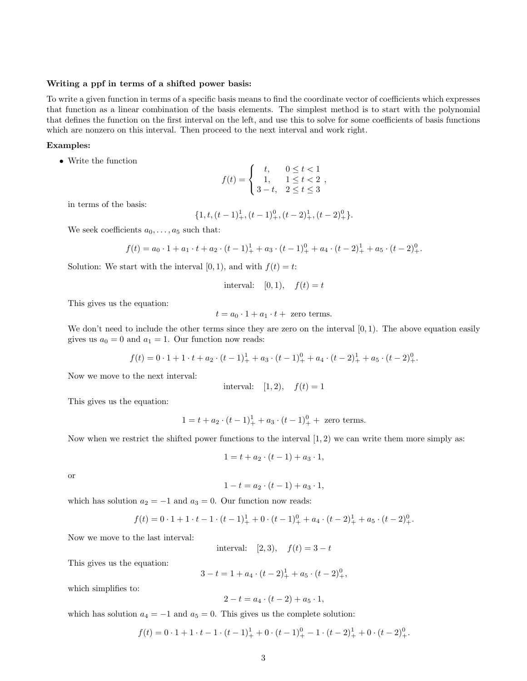#### Writing a ppf in terms of a shifted power basis:

To write a given function in terms of a specific basis means to find the coordinate vector of coefficients which expresses that function as a linear combination of the basis elements. The simplest method is to start with the polynomial that defines the function on the first interval on the left, and use this to solve for some coefficients of basis functions which are nonzero on this interval. Then proceed to the next interval and work right.

## Examples:

• Write the function

$$
f(t) = \begin{cases} t, & 0 \le t < 1 \\ 1, & 1 \le t < 2 \\ 3-t, & 2 \le t \le 3 \end{cases}
$$

in terms of the basis:

$$
\{1, t, (t-1)_{+}^{1}, (t-1)_{+}^{0}, (t-2)_{+}^{1}, (t-2)_{+}^{0}\}.
$$

We seek coefficients  $a_0, \ldots, a_5$  such that:

$$
f(t) = a_0 \cdot 1 + a_1 \cdot t + a_2 \cdot (t-1)_+^1 + a_3 \cdot (t-1)_+^0 + a_4 \cdot (t-2)_+^1 + a_5 \cdot (t-2)_+^0.
$$

Solution: We start with the interval  $[0, 1)$ , and with  $f(t) = t$ :

interval: 
$$
[0,1),
$$
  $f(t) = t$ 

This gives us the equation:

$$
t = a_0 \cdot 1 + a_1 \cdot t + \text{ zero terms.}
$$

We don't need to include the other terms since they are zero on the interval  $[0, 1)$ . The above equation easily gives us  $a_0 = 0$  and  $a_1 = 1$ . Our function now reads:

$$
f(t) = 0 \cdot 1 + 1 \cdot t + a_2 \cdot (t - 1)_+^1 + a_3 \cdot (t - 1)_+^0 + a_4 \cdot (t - 2)_+^1 + a_5 \cdot (t - 2)_+^0.
$$

Now we move to the next interval:

interval: 
$$
[1, 2), f(t) = 1
$$

This gives us the equation:

$$
1 = t + a_2 \cdot (t - 1)_+^1 + a_3 \cdot (t - 1)_+^0 +
$$
 zero terms.

Now when we restrict the shifted power functions to the interval  $(1, 2)$  we can write them more simply as:

$$
1 = t + a_2 \cdot (t - 1) + a_3 \cdot 1,
$$

or

$$
1 - t = a_2 \cdot (t - 1) + a_3 \cdot 1,
$$

which has solution  $a_2 = -1$  and  $a_3 = 0$ . Our function now reads:

$$
f(t) = 0 \cdot 1 + 1 \cdot t - 1 \cdot (t - 1)^{1}_{+} + 0 \cdot (t - 1)^{0}_{+} + a_{4} \cdot (t - 2)^{1}_{+} + a_{5} \cdot (t - 2)^{0}_{+}.
$$

Now we move to the last interval:

interval: [2, 3),  $f(t) = 3 - t$ 

This gives us the equation:

$$
3 - t = 1 + a_4 \cdot (t - 2)^1_+ + a_5 \cdot (t - 2)^0_+,
$$

which simplifies to:

$$
2 - t = a_4 \cdot (t - 2) + a_5 \cdot 1,
$$

which has solution  $a_4 = -1$  and  $a_5 = 0$ . This gives us the complete solution:

$$
f(t) = 0 \cdot 1 + 1 \cdot t - 1 \cdot (t - 1)^{1}_{+} + 0 \cdot (t - 1)^{0}_{+} - 1 \cdot (t - 2)^{1}_{+} + 0 \cdot (t - 2)^{0}_{+}.
$$